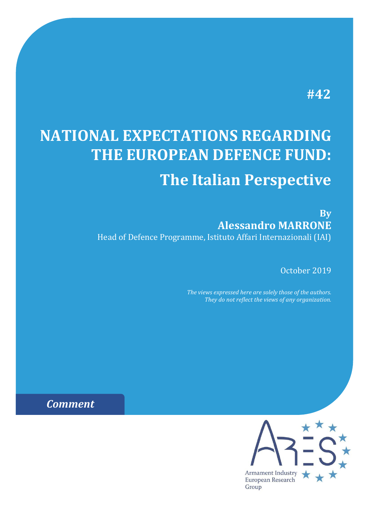# **#42**

# **NATIONAL EXPECTATIONS REGARDING THE EUROPEAN DEFENCE FUND: The Italian Perspective**

**By Alessandro MARRONE** Head of Defence Programme, Istituto Affari Internazionali (IAI)

October 2019

*The views expressed here are solely those of the authors. They do not reflect the views of any organization.*

*Comment*

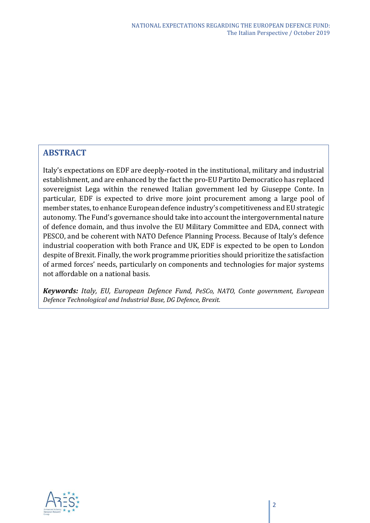## **ABSTRACT**

Italy's expectations on EDF are deeply-rooted in the institutional, military and industrial establishment, and are enhanced by the fact the pro-EU Partito Democratico has replaced sovereignist Lega within the renewed Italian government led by Giuseppe Conte. In particular, EDF is expected to drive more joint procurement among a large pool of member states, to enhance European defence industry's competitiveness and EU strategic autonomy. The Fund's governance should take into account the intergovernmental nature of defence domain, and thus involve the EU Military Committee and EDA, connect with PESCO, and be coherent with NATO Defence Planning Process. Because of Italy's defence industrial cooperation with both France and UK, EDF is expected to be open to London despite of Brexit. Finally, the work programme priorities should prioritize the satisfaction of armed forces' needs, particularly on components and technologies for major systems not affordable on a national basis.

*Keywords: Italy, EU, European Defence Fund, PeSCo, NATO, Conte government, European Defence Technological and Industrial Base, DG Defence, Brexit.* 

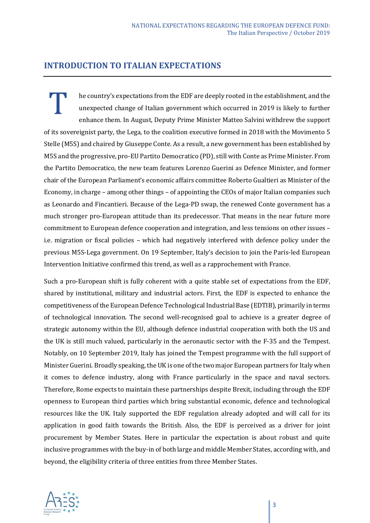### **INTRODUCTION TO ITALIAN EXPECTATIONS**

he country's expectations from the EDF are deeply rooted in the establishment, and the unexpected change of Italian government which occurred in 2019 is likely to further enhance them. In August, Deputy Prime Minister Matteo Salvini withdrew the support of its sovereignist party, the Lega, to the coalition executive formed in 2018 with the Movimento 5 Stelle (M5S) and chaired by Giuseppe Conte. As a result, a new government has been established by M5S and the progressive, pro-EU Partito Democratico (PD), still with Conte as Prime Minister. From the Partito Democratico, the new team features Lorenzo Guerini as Defence Minister, and former chair of the European Parliament's economic affairs committee Roberto Gualtieri as Minister of the Economy, in charge – among other things – of appointing the CEOs of major Italian companies such as Leonardo and Fincantieri. Because of the Lega-PD swap, the renewed Conte government has a much stronger pro-European attitude than its predecessor. That means in the near future more commitment to European defence cooperation and integration, and less tensions on other issues – i.e. migration or fiscal policies – which had negatively interfered with defence policy under the previous M5S-Lega government. On 19 September, Italy's decision to join the Paris-led European Intervention Initiative confirmed this trend, as well as a rapprochement with France. T

Such a pro-European shift is fully coherent with a quite stable set of expectations from the EDF, shared by institutional, military and industrial actors. First, the EDF is expected to enhance the competitiveness of the European Defence Technological Industrial Base (EDTIB), primarily in terms of technological innovation. The second well-recognised goal to achieve is a greater degree of strategic autonomy within the EU, although defence industrial cooperation with both the US and the UK is still much valued, particularly in the aeronautic sector with the F-35 and the Tempest. Notably, on 10 September 2019, Italy has joined the Tempest programme with the full support of Minister Guerini. Broadly speaking, the UK is one of the two major European partners for Italy when it comes to defence industry, along with France particularly in the space and naval sectors. Therefore, Rome expects to maintain these partnerships despite Brexit, including through the EDF openness to European third parties which bring substantial economic, defence and technological resources like the UK. Italy supported the EDF regulation already adopted and will call for its application in good faith towards the British. Also, the EDF is perceived as a driver for joint procurement by Member States. Here in particular the expectation is about robust and quite inclusive programmes with the buy-in of both large and middle Member States, according with, and beyond, the eligibility criteria of three entities from three Member States.

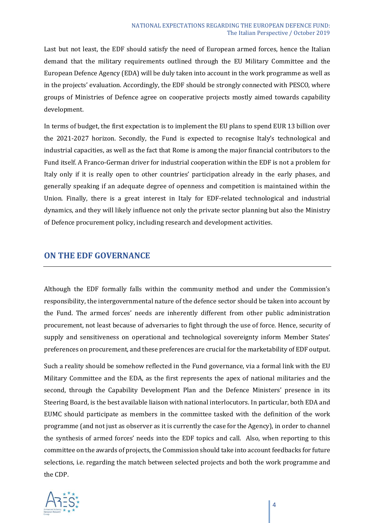Last but not least, the EDF should satisfy the need of European armed forces, hence the Italian demand that the military requirements outlined through the EU Military Committee and the European Defence Agency (EDA) will be duly taken into account in the work programme as well as in the projects' evaluation. Accordingly, the EDF should be strongly connected with PESCO, where groups of Ministries of Defence agree on cooperative projects mostly aimed towards capability development.

In terms of budget, the first expectation is to implement the EU plans to spend EUR 13 billion over the 2021-2027 horizon. Secondly, the Fund is expected to recognise Italy's technological and industrial capacities, as well as the fact that Rome is among the major financial contributors to the Fund itself. A Franco-German driver for industrial cooperation within the EDF is not a problem for Italy only if it is really open to other countries' participation already in the early phases, and generally speaking if an adequate degree of openness and competition is maintained within the Union. Finally, there is a great interest in Italy for EDF-related technological and industrial dynamics, and they will likely influence not only the private sector planning but also the Ministry of Defence procurement policy, including research and development activities.

#### **ON THE EDF GOVERNANCE**

Although the EDF formally falls within the community method and under the Commission's responsibility, the intergovernmental nature of the defence sector should be taken into account by the Fund. The armed forces' needs are inherently different from other public administration procurement, not least because of adversaries to fight through the use of force. Hence, security of supply and sensitiveness on operational and technological sovereignty inform Member States' preferences on procurement, and these preferences are crucial for the marketability of EDF output.

Such a reality should be somehow reflected in the Fund governance, via a formal link with the EU Military Committee and the EDA, as the first represents the apex of national militaries and the second, through the Capability Development Plan and the Defence Ministers' presence in its Steering Board, is the best available liaison with national interlocutors. In particular, both EDA and EUMC should participate as members in the committee tasked with the definition of the work programme (and not just as observer as it is currently the case for the Agency), in order to channel the synthesis of armed forces' needs into the EDF topics and call. Also, when reporting to this committee on the awards of projects, the Commission should take into account feedbacks for future selections, i.e. regarding the match between selected projects and both the work programme and the CDP.

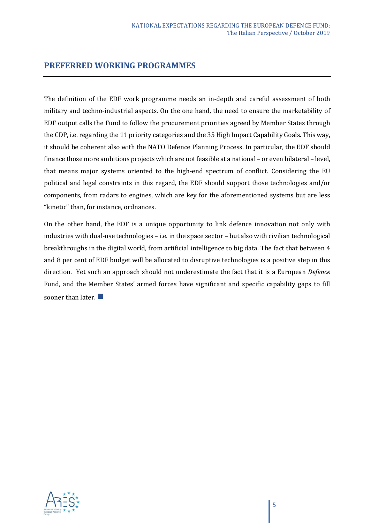#### **PREFERRED WORKING PROGRAMMES**

The definition of the EDF work programme needs an in-depth and careful assessment of both military and techno-industrial aspects. On the one hand, the need to ensure the marketability of EDF output calls the Fund to follow the procurement priorities agreed by Member States through the CDP, i.e. regarding the 11 priority categories and the 35 High Impact Capability Goals. This way, it should be coherent also with the NATO Defence Planning Process. In particular, the EDF should finance those more ambitious projects which are not feasible at a national – or even bilateral – level, that means major systems oriented to the high-end spectrum of conflict. Considering the EU political and legal constraints in this regard, the EDF should support those technologies and/or components, from radars to engines, which are key for the aforementioned systems but are less "kinetic" than, for instance, ordnances.

On the other hand, the EDF is a unique opportunity to link defence innovation not only with industries with dual-use technologies – i.e. in the space sector – but also with civilian technological breakthroughs in the digital world, from artificial intelligence to big data. The fact that between 4 and 8 per cent of EDF budget will be allocated to disruptive technologies is a positive step in this direction. Yet such an approach should not underestimate the fact that it is a European *Defence*  Fund, and the Member States' armed forces have significant and specific capability gaps to fill sooner than later.  $\blacksquare$